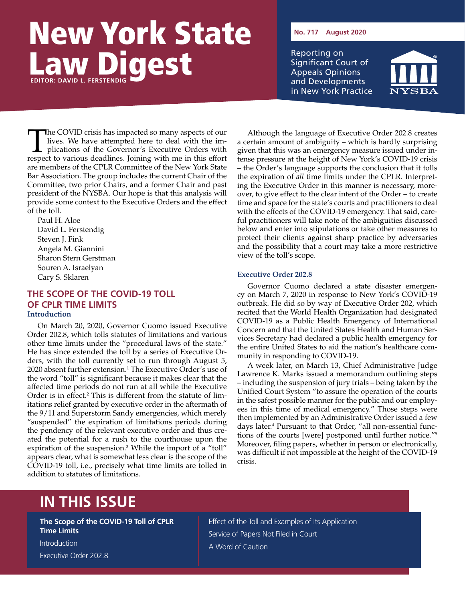# New York State Law Digest **EDITOR: DAVID L. FERSTENDIG**

**No. 717 August 2020**

Reporting on Significant Court of Appeals Opinions and Developments in New York Practice



The COVID crisis has impacted so many aspects of our<br>lives. We have attempted here to deal with the im-<br>plications of the Governor's Executive Orders with<br>respect to various deadlines Joining with me in this effort lives. We have attempted here to deal with the implications of the Governor's Executive Orders with respect to various deadlines. Joining with me in this effort are members of the CPLR Committee of the New York State Bar Association. The group includes the current Chair of the Committee, two prior Chairs, and a former Chair and past president of the NYSBA. Our hope is that this analysis will provide some context to the Executive Orders and the effect of the toll.

Paul H. Aloe David L. Ferstendig Steven J. Fink Angela M. Giannini Sharon Stern Gerstman Souren A. Israelyan Cary S. Sklaren

## **THE SCOPE OF THE COVID-19 TOLL OF CPLR TIME LIMITS Introduction**

On March 20, 2020, Governor Cuomo issued Executive Order 202.8, which tolls statutes of limitations and various other time limits under the "procedural laws of the state." He has since extended the toll by a series of Executive Orders, with the toll currently set to run through August 5, 2020 absent further extension.<sup>1</sup> The Executive Order's use of the word "toll" is significant because it makes clear that the affected time periods do not run at all while the Executive Order is in effect.<sup>2</sup> This is different from the statute of limitations relief granted by executive order in the aftermath of the 9/11 and Superstorm Sandy emergencies, which merely "suspended" the expiration of limitations periods during the pendency of the relevant executive order and thus created the potential for a rush to the courthouse upon the expiration of the suspension.<sup>3</sup> While the import of a "toll" appears clear, what is somewhat less clear is the scope of the COVID-19 toll, i.e., precisely what time limits are tolled in addition to statutes of limitations.

Although the language of Executive Order 202.8 creates a certain amount of ambiguity – which is hardly surprising given that this was an emergency measure issued under intense pressure at the height of New York's COVID-19 crisis – the Order's language supports the conclusion that it tolls the expiration of *all* time limits under the CPLR. Interpreting the Executive Order in this manner is necessary, moreover, to give effect to the clear intent of the Order – to create time and space for the state's courts and practitioners to deal with the effects of the COVID-19 emergency. That said, careful practitioners will take note of the ambiguities discussed below and enter into stipulations or take other measures to protect their clients against sharp practice by adversaries and the possibility that a court may take a more restrictive view of the toll's scope.

### **Executive Order 202.8**

Governor Cuomo declared a state disaster emergency on March 7, 2020 in response to New York's COVID-19 outbreak. He did so by way of Executive Order 202, which recited that the World Health Organization had designated COVID-19 as a Public Health Emergency of International Concern and that the United States Health and Human Services Secretary had declared a public health emergency for the entire United States to aid the nation's healthcare community in responding to COVID-19.

A week later, on March 13, Chief Administrative Judge Lawrence K. Marks issued a memorandum outlining steps – including the suspension of jury trials – being taken by the Unified Court System "to assure the operation of the courts in the safest possible manner for the public and our employees in this time of medical emergency." Those steps were then implemented by an Administrative Order issued a few days later.4 Pursuant to that Order, "all non-essential functions of the courts [were] postponed until further notice."5 Moreover, filing papers, whether in person or electronically, was difficult if not impossible at the height of the COVID-19 crisis.

# **IN THIS ISSUE**

**The Scope of the COVID-19 Toll of CPLR Time Limits**

Introduction Executive Order 202.8

Effect of the Toll and Examples of Its Application Service of Papers Not Filed in Court A Word of Caution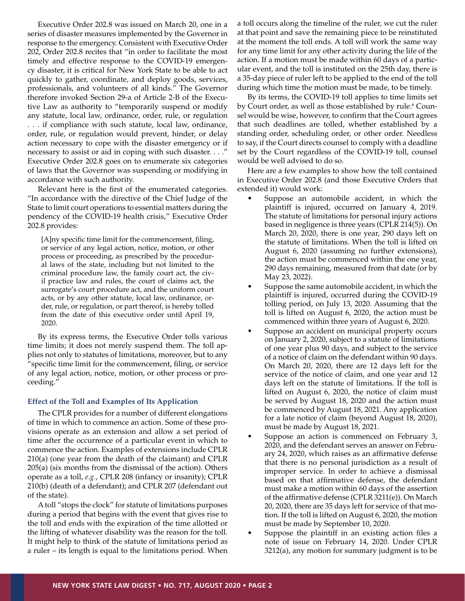Executive Order 202.8 was issued on March 20, one in a series of disaster measures implemented by the Governor in response to the emergency. Consistent with Executive Order 202, Order 202.8 recites that "in order to facilitate the most timely and effective response to the COVID-19 emergency disaster, it is critical for New York State to be able to act quickly to gather, coordinate, and deploy goods, services, professionals, and volunteers of all kinds." The Governor therefore invoked Section 29-a of Article 2-B of the Executive Law as authority to "temporarily suspend or modify any statute, local law, ordinance, order, rule, or regulation . . . if compliance with such statute, local law, ordinance, order, rule, or regulation would prevent, hinder, or delay action necessary to cope with the disaster emergency or if necessary to assist or aid in coping with such disaster. . . ." Executive Order 202.8 goes on to enumerate six categories of laws that the Governor was suspending or modifying in accordance with such authority.

Relevant here is the first of the enumerated categories. "In accordance with the directive of the Chief Judge of the State to limit court operations to essential matters during the pendency of the COVID-19 health crisis," Executive Order 202.8 provides:

[A]ny specific time limit for the commencement, filing, or service of any legal action, notice, motion, or other process or proceeding, as prescribed by the procedural laws of the state, including but not limited to the criminal procedure law, the family court act, the civil practice law and rules, the court of claims act, the surrogate's court procedure act, and the uniform court acts, or by any other statute, local law, ordinance, order, rule, or regulation, or part thereof, is hereby tolled from the date of this executive order until April 19, 2020.

By its express terms, the Executive Order tolls various time limits; it does not merely suspend them. The toll applies not only to statutes of limitations, moreover, but to any "specific time limit for the commencement, filing, or service of any legal action, notice, motion, or other process or proceeding."

#### **Effect of the Toll and Examples of Its Application**

The CPLR provides for a number of different elongations of time in which to commence an action. Some of these provisions operate as an extension and allow a set period of time after the occurrence of a particular event in which to commence the action. Examples of extensions include CPLR 210(a) (one year from the death of the claimant) and CPLR 205(a) (six months from the dismissal of the action). Others operate as a toll, *e.g.*, CPLR 208 (infancy or insanity); CPLR 210(b) (death of a defendant); and CPLR 207 (defendant out of the state).

A toll "stops the clock" for statute of limitations purposes during a period that begins with the event that gives rise to the toll and ends with the expiration of the time allotted or the lifting of whatever disability was the reason for the toll. It might help to think of the statute of limitations period as a ruler – its length is equal to the limitations period. When

a toll occurs along the timeline of the ruler, we cut the ruler at that point and save the remaining piece to be reinstituted at the moment the toll ends. A toll will work the same way for any time limit for any other activity during the life of the action. If a motion must be made within 60 days of a particular event, and the toll is instituted on the 25th day, there is a 35-day piece of ruler left to be applied to the end of the toll during which time the motion must be made, to be timely.

By its terms, the COVID-19 toll applies to time limits set by Court order, as well as those established by rule.<sup>6</sup> Counsel would be wise, however, to confirm that the Court agrees that such deadlines are tolled, whether established by a standing order, scheduling order, or other order. Needless to say, if the Court directs counsel to comply with a deadline set by the Court regardless of the COVID-19 toll, counsel would be well advised to do so.

Here are a few examples to show how the toll contained in Executive Order 202.8 (and those Executive Orders that extended it) would work:

- Suppose an automobile accident, in which the plaintiff is injured, occurred on January 4, 2019. The statute of limitations for personal injury actions based in negligence is three years (CPLR 214(5)). On March 20, 2020, there is one year, 290 days left on the statute of limitations. When the toll is lifted on August 6, 2020 (assuming no further extensions), the action must be commenced within the one year, 290 days remaining, measured from that date (or by May 23, 2022).
- Suppose the same automobile accident, in which the plaintiff is injured, occurred during the COVID-19 tolling period, on July 13, 2020. Assuming that the toll is lifted on August 6, 2020, the action must be commenced within three years of August 6, 2020.
- Suppose an accident on municipal property occurs on January 2, 2020, subject to a statute of limitations of one year plus 90 days, and subject to the service of a notice of claim on the defendant within 90 days. On March 20, 2020, there are 12 days left for the service of the notice of claim, and one year and 12 days left on the statute of limitations. If the toll is lifted on August 6, 2020, the notice of claim must be served by August 18, 2020 and the action must be commenced by August 18, 2021. Any application for a late notice of claim (beyond August 18, 2020), must be made by August 18, 2021.
- Suppose an action is commenced on February 3, 2020, and the defendant serves an answer on February 24, 2020, which raises as an affirmative defense that there is no personal jurisdiction as a result of improper service. In order to achieve a dismissal based on that affirmative defense, the defendant must make a motion within 60 days of the assertion of the affirmative defense (CPLR 3211(e)). On March 20, 2020, there are 35 days left for service of that motion. If the toll is lifted on August 6, 2020, the motion must be made by September 10, 2020.
- Suppose the plaintiff in an existing action files a note of issue on February 14, 2020. Under CPLR 3212(a), any motion for summary judgment is to be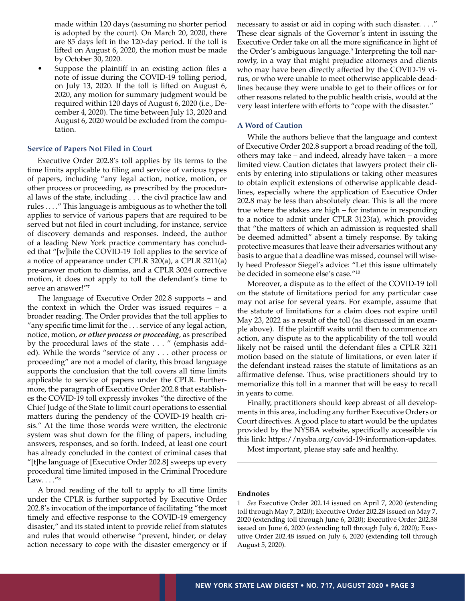made within 120 days (assuming no shorter period is adopted by the court). On March 20, 2020, there are 85 days left in the 120-day period. If the toll is lifted on August 6, 2020, the motion must be made by October 30, 2020.

Suppose the plaintiff in an existing action files a note of issue during the COVID-19 tolling period, on July 13, 2020. If the toll is lifted on August 6, 2020, any motion for summary judgment would be required within 120 days of August 6, 2020 (i.e., December 4, 2020). The time between July 13, 2020 and August 6, 2020 would be excluded from the computation.

#### **Service of Papers Not Filed in Court**

Executive Order 202.8's toll applies by its terms to the time limits applicable to filing and service of various types of papers, including "any legal action, notice, motion, or other process or proceeding, as prescribed by the procedural laws of the state, including . . . the civil practice law and rules . . . ." This language is ambiguous as to whether the toll applies to service of various papers that are required to be served but not filed in court including, for instance, service of discovery demands and responses. Indeed, the author of a leading New York practice commentary has concluded that "[w]hile the COVID-19 Toll applies to the service of a notice of appearance under CPLR 320(a), a CPLR 3211(a) pre-answer motion to dismiss, and a CPLR 3024 corrective motion, it does not apply to toll the defendant's time to serve an answer!"**<sup>7</sup>**

The language of Executive Order 202.8 supports – and the context in which the Order was issued requires – a broader reading. The Order provides that the toll applies to "any specific time limit for the . . . service of any legal action, notice, motion, *or other process or proceeding*, as prescribed by the procedural laws of the state . . . " (emphasis added). While the words "service of any . . . other process or proceeding" are not a model of clarity, this broad language supports the conclusion that the toll covers all time limits applicable to service of papers under the CPLR. Furthermore, the paragraph of Executive Order 202.8 that establishes the COVID-19 toll expressly invokes "the directive of the Chief Judge of the State to limit court operations to essential matters during the pendency of the COVID-19 health crisis." At the time those words were written, the electronic system was shut down for the filing of papers, including answers, responses, and so forth. Indeed, at least one court has already concluded in the context of criminal cases that "[t]he language of [Executive Order 202.8] sweeps up every procedural time limited imposed in the Criminal Procedure Law. . . . "8

A broad reading of the toll to apply to all time limits under the CPLR is further supported by Executive Order 202.8's invocation of the importance of facilitating "the most timely and effective response to the COVID-19 emergency disaster," and its stated intent to provide relief from statutes and rules that would otherwise "prevent, hinder, or delay action necessary to cope with the disaster emergency or if necessary to assist or aid in coping with such disaster. . . ." These clear signals of the Governor's intent in issuing the Executive Order take on all the more significance in light of the Order's ambiguous language.<sup>9</sup> Interpreting the toll narrowly, in a way that might prejudice attorneys and clients who may have been directly affected by the COVID-19 virus, or who were unable to meet otherwise applicable deadlines because they were unable to get to their offices or for other reasons related to the public health crisis, would at the very least interfere with efforts to "cope with the disaster."

#### **A Word of Caution**

While the authors believe that the language and context of Executive Order 202.8 support a broad reading of the toll, others may take – and indeed, already have taken – a more limited view. Caution dictates that lawyers protect their clients by entering into stipulations or taking other measures to obtain explicit extensions of otherwise applicable deadlines, especially where the application of Executive Order 202.8 may be less than absolutely clear. This is all the more true where the stakes are high – for instance in responding to a notice to admit under CPLR 3123(a), which provides that "the matters of which an admission is requested shall be deemed admitted" absent a timely response. By taking protective measures that leave their adversaries without any basis to argue that a deadline was missed, counsel will wisely heed Professor Siegel's advice: "Let this issue ultimately be decided in someone else's case."10

Moreover, a dispute as to the effect of the COVID-19 toll on the statute of limitations period for any particular case may not arise for several years. For example, assume that the statute of limitations for a claim does not expire until May 23, 2022 as a result of the toll (as discussed in an example above). If the plaintiff waits until then to commence an action, any dispute as to the applicability of the toll would likely not be raised until the defendant files a CPLR 3211 motion based on the statute of limitations, or even later if the defendant instead raises the statute of limitations as an affirmative defense. Thus, wise practitioners should try to memorialize this toll in a manner that will be easy to recall in years to come.

Finally, practitioners should keep abreast of all developments in this area, including any further Executive Orders or Court directives. A good place to start would be the updates provided by the NYSBA website, specifically accessible via this link: https://nysba.org/covid-19-information-updates.

Most important, please stay safe and healthy.

#### **Endnotes**

1 *See* Executive Order 202.14 issued on April 7, 2020 (extending toll through May 7, 2020); Executive Order 202.28 issued on May 7, 2020 (extending toll through June 6, 2020); Executive Order 202.38 issued on June 6, 2020 (extending toll through July 6, 2020); Executive Order 202.48 issued on July 6, 2020 (extending toll through August 5, 2020).